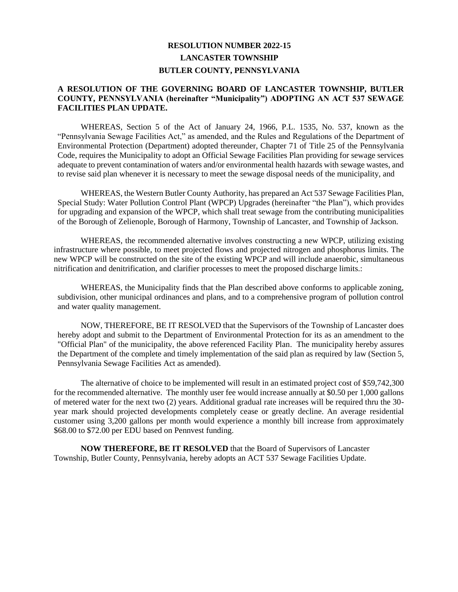## **RESOLUTION NUMBER 2022-15 LANCASTER TOWNSHIP BUTLER COUNTY, PENNSYLVANIA**

## **A RESOLUTION OF THE GOVERNING BOARD OF LANCASTER TOWNSHIP, BUTLER COUNTY, PENNSYLVANIA (hereinafter "Municipality") ADOPTING AN ACT 537 SEWAGE FACILITIES PLAN UPDATE.**

WHEREAS, Section 5 of the Act of January 24, 1966, P.L. 1535, No. 537, known as the "Pennsylvania Sewage Facilities Act," as amended, and the Rules and Regulations of the Department of Environmental Protection (Department) adopted thereunder, Chapter 71 of Title 25 of the Pennsylvania Code, requires the Municipality to adopt an Official Sewage Facilities Plan providing for sewage services adequate to prevent contamination of waters and/or environmental health hazards with sewage wastes, and to revise said plan whenever it is necessary to meet the sewage disposal needs of the municipality, and

WHEREAS, the Western Butler County Authority, has prepared an Act 537 Sewage Facilities Plan, Special Study: Water Pollution Control Plant (WPCP) Upgrades (hereinafter "the Plan"), which provides for upgrading and expansion of the WPCP, which shall treat sewage from the contributing municipalities of the Borough of Zelienople, Borough of Harmony, Township of Lancaster, and Township of Jackson.

WHEREAS, the recommended alternative involves constructing a new WPCP, utilizing existing infrastructure where possible, to meet projected flows and projected nitrogen and phosphorus limits. The new WPCP will be constructed on the site of the existing WPCP and will include anaerobic, simultaneous nitrification and denitrification, and clarifier processes to meet the proposed discharge limits.:

WHEREAS, the Municipality finds that the Plan described above conforms to applicable zoning, subdivision, other municipal ordinances and plans, and to a comprehensive program of pollution control and water quality management.

NOW, THEREFORE, BE IT RESOLVED that the Supervisors of the Township of Lancaster does hereby adopt and submit to the Department of Environmental Protection for its as an amendment to the "Official Plan" of the municipality, the above referenced Facility Plan. The municipality hereby assures the Department of the complete and timely implementation of the said plan as required by law (Section 5, Pennsylvania Sewage Facilities Act as amended).

The alternative of choice to be implemented will result in an estimated project cost of \$59,742,300 for the recommended alternative. The monthly user fee would increase annually at \$0.50 per 1,000 gallons of metered water for the next two (2) years. Additional gradual rate increases will be required thru the 30 year mark should projected developments completely cease or greatly decline. An average residential customer using 3,200 gallons per month would experience a monthly bill increase from approximately \$68.00 to \$72.00 per EDU based on Pennvest funding.

**NOW THEREFORE, BE IT RESOLVED** that the Board of Supervisors of Lancaster Township, Butler County, Pennsylvania, hereby adopts an ACT 537 Sewage Facilities Update.